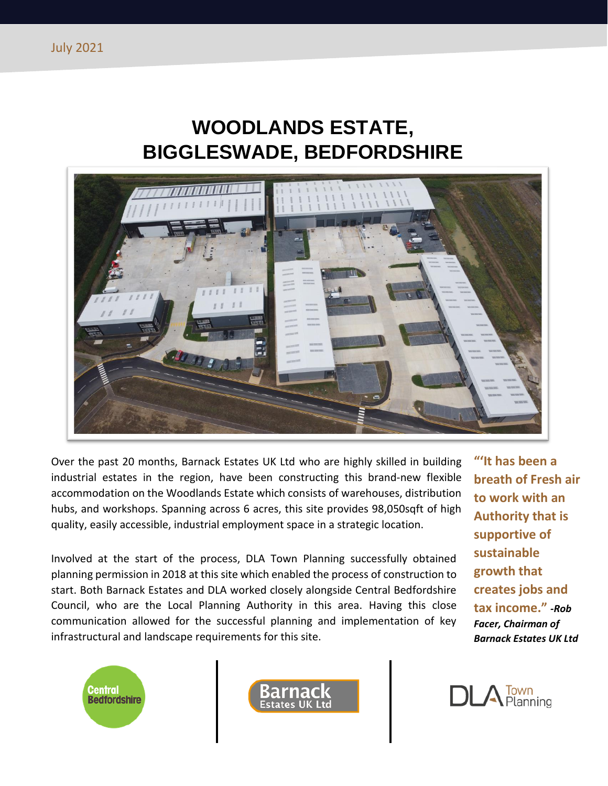## **WOODLANDS ESTATE, BIGGLESWADE, BEDFORDSHIRE**



Over the past 20 months, Barnack Estates UK Ltd who are highly skilled in building industrial estates in the region, have been constructing this brand-new flexible accommodation on the Woodlands Estate which consists of warehouses, distribution hubs, and workshops. Spanning across 6 acres, this site provides 98,050sqft of high quality, easily accessible, industrial employment space in a strategic location.

Involved at the start of the process, DLA Town Planning successfully obtained planning permission in 2018 at this site which enabled the process of construction to start. Both Barnack Estates and DLA worked closely alongside Central Bedfordshire Council, who are the Local Planning Authority in this area. Having this close communication allowed for the successful planning and implementation of key infrastructural and landscape requirements for this site.

**"'It has been a breath of Fresh air to work with an Authority that is supportive of sustainable growth that creates jobs and tax income."** *-Rob Facer, Chairman of Barnack Estates UK Ltd*





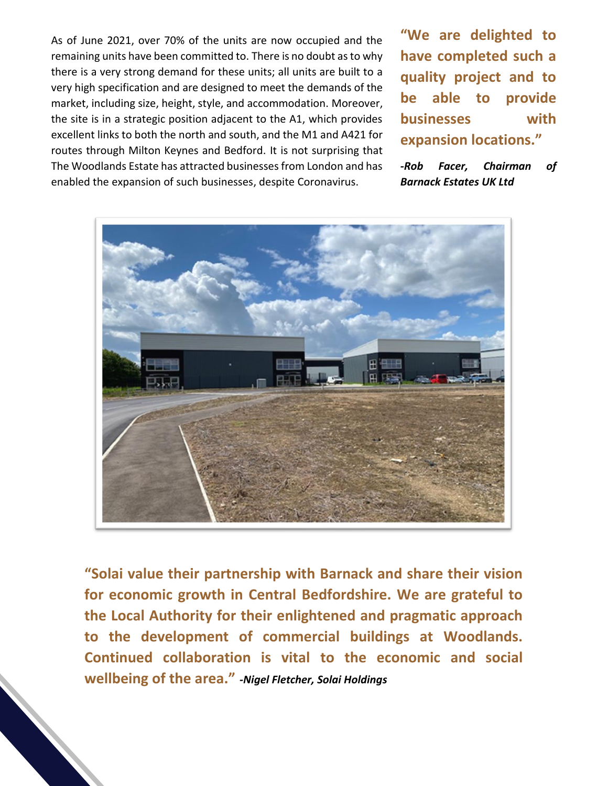As of June 2021, over 70% of the units are now occupied and the remaining units have been committed to. There is no doubt as to why there is a very strong demand for these units; all units are built to a very high specification and are designed to meet the demands of the market, including size, height, style, and accommodation. Moreover, the site is in a strategic position adjacent to the A1, which provides excellent links to both the north and south, and the M1 and A421 for routes through Milton Keynes and Bedford. It is not surprising that The Woodlands Estate has attracted businesses from London and has enabled the expansion of such businesses, despite Coronavirus.

**"We are delighted to have completed such a quality project and to be able to provide businesses with expansion locations."**

*-Rob Facer, Chairman of Barnack Estates UK Ltd*



**"Solai value their partnership with Barnack and share their vision for economic growth in Central Bedfordshire. We are grateful to the Local Authority for their enlightened and pragmatic approach to the development of commercial buildings at Woodlands. Continued collaboration is vital to the economic and social wellbeing of the area."** *-Nigel Fletcher, Solai Holdings*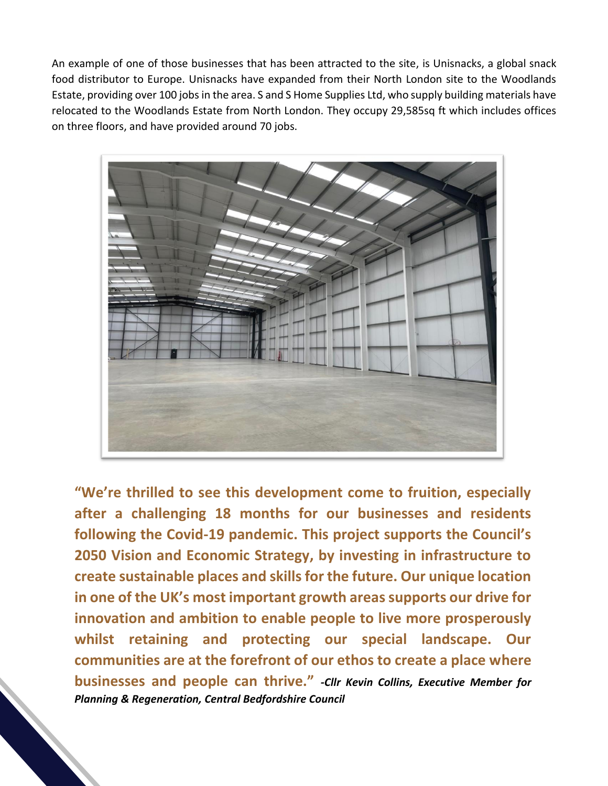An example of one of those businesses that has been attracted to the site, is Unisnacks, a global snack food distributor to Europe. Unisnacks have expanded from their North London site to the Woodlands Estate, providing over 100 jobs in the area. S and S Home Supplies Ltd, who supply building materials have relocated to the Woodlands Estate from North London. They occupy 29,585sq ft which includes offices on three floors, and have provided around 70 jobs.



**"We're thrilled to see this development come to fruition, especially after a challenging 18 months for our businesses and residents following the Covid-19 pandemic. This project supports the Council's 2050 Vision and Economic Strategy, by investing in infrastructure to create sustainable places and skills for the future. Our unique location in one of the UK's most important growth areas supports our drive for innovation and ambition to enable people to live more prosperously whilst retaining and protecting our special landscape. Our communities are at the forefront of our ethos to create a place where businesses and people can thrive."** *-Cllr Kevin Collins, Executive Member for Planning & Regeneration, Central Bedfordshire Council*